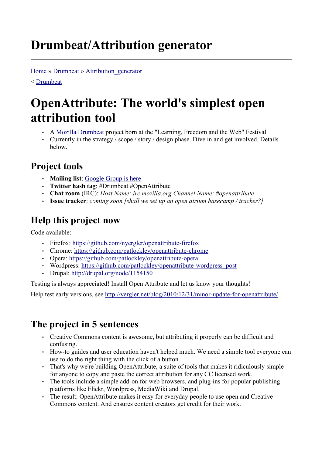# **Drumbeat/Attribution generator**

[Home](http://wiki.mozilla.org/) » [Drumbeat](http://wiki.mozilla.org/Drumbeat) » [Attribution\\_generator](http://wiki.mozilla.org/Drumbeat/Attribution_generator)

< [Drumbeat](https://wiki.mozilla.org/Drumbeat)

# **OpenAttribute: The world's simplest open attribution tool**

- A [Mozilla Drumbeat](http://www.drumbeat.org/) project born at the "Learning, Freedom and the Web" Festival
- Currently in the strategy / scope / story / design phase. Dive in and get involved. Details below.

## **Project tools**

- **Mailing list**: [Google Group is here](http://groups.google.com/group/attrib-generator/topics?hl=en)
- **Twitter hash tag**: #Drumbeat #OpenAttribute
- **Chat room** (IRC): *Host Name: irc.mozilla.org Channel Name: #openattribute*
- **Issue tracker**: *coming soon [shall we set up an open atrium basecamp / tracker?]*

# **Help this project now**

Code available:

- Firefox:<https://github.com/nyergler/openattribute-firefox>
- Chrome: <https://github.com/patlockley/openattribute-chrome>
- Opera: <https://github.com/patlockley/openattribute-opera>
- Wordpress: [https://github.com/patlockley/openattribute-wordpress\\_post](https://github.com/patlockley/openattribute-wordpress_post)
- Drupal: <http://drupal.org/node/1154150>

Testing is always appreciated! Install Open Attribute and let us know your thoughts!

Help test early versions, see<http://yergler.net/blog/2010/12/31/minor-update-for-openattribute/>

# **The project in 5 sentences**

- Creative Commons content is awesome, but attributing it properly can be difficult and confusing.
- How-to guides and user education haven't helped much. We need a simple tool everyone can use to do the right thing with the click of a button.
- That's why we're building OpenAttribute, a suite of tools that makes it ridiculously simple for anyone to copy and paste the correct attribution for any CC licensed work.
- The tools include a simple add-on for web browsers, and plug-ins for popular publishing platforms like Flickr, Wordpress, MediaWiki and Drupal.
- The result: OpenAttribute makes it easy for everyday people to use open and Creative Commons content. And ensures content creators get credit for their work.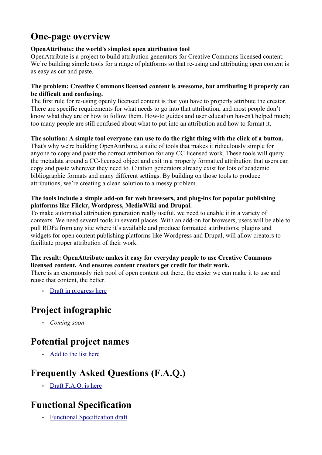### **One-page overview**

#### **OpenAttribute: the world's simplest open attribution tool**

OpenAttribute is a project to build attribution generators for Creative Commons licensed content. We're building simple tools for a range of platforms so that re-using and attributing open content is as easy as cut and paste.

#### **The problem: Creative Commons licensed content is awesome, but attributing it properly can be difficult and confusing.**

The first rule for re-using openly licensed content is that you have to properly attribute the creator. There are specific requirements for what needs to go into that attribution, and most people don't know what they are or how to follow them. How-to guides and user education haven't helped much; too many people are still confused about what to put into an attribution and how to format it.

#### **The solution: A simple tool everyone can use to do the right thing with the click of a button.**

That's why we're building OpenAttribute, a suite of tools that makes it ridiculously simple for anyone to copy and paste the correct attribution for any CC licensed work. These tools will query the metadata around a CC-licensed object and exit in a properly formatted attribution that users can copy and paste wherever they need to. Citation generators already exist for lots of academic bibliographic formats and many different settings. By building on those tools to produce attributions, we're creating a clean solution to a messy problem.

#### **The tools include a simple add-on for web browsers, and plug-ins for popular publishing platforms like Flickr, Wordpress, MediaWiki and Drupal.**

To make automated attribution generation really useful, we need to enable it in a variety of contexts. We need several tools in several places. With an add-on for browsers, users will be able to pull RDFa from any site where it's available and produce formatted attributions; plugins and widgets for open content publishing platforms like Wordpress and Drupal, will allow creators to facilitate proper attribution of their work.

#### **The result: OpenAttribute makes it easy for everyday people to use Creative Commons licensed content. And ensures content creators get credit for their work.**

There is an enormously rich pool of open content out there, the easier we can make it to use and reuse that content, the better.

• [Draft in progress here](http://etherpad.mozilla.com:9000/OpenAttribute-one-page-overview)

### **Project infographic**

• *Coming soon*

### **Potential project names**

• [Add to the list here](http://etherpad.mozilla.com:9000/OpenAttribute-names)

### **Frequently Asked Questions (F.A.Q.)**

• [Draft F.A.Q. is here](http://etherpad.mozilla.com:9000/OpenAttribute-FAQ)

### **Functional Specification**

• [Functional Specification draft](https://wiki.mozilla.org/Drumbeat/Attribution_generator_Functional_Specification)